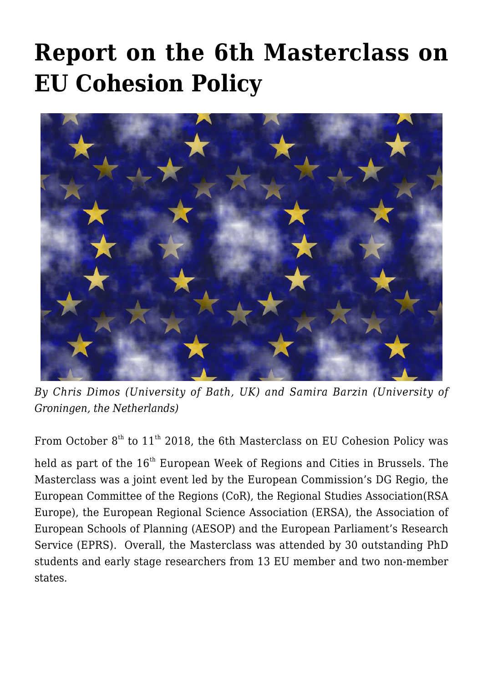## **[Report on the 6th Masterclass on](https://regions.regionalstudies.org/ezine/article/report-on-the-th-masterclass-on-eu-cohesion-policy/) [EU Cohesion Policy](https://regions.regionalstudies.org/ezine/article/report-on-the-th-masterclass-on-eu-cohesion-policy/)**



*By Chris Dimos (University of Bath, UK) and Samira Barzin (University of Groningen, the Netherlands)*

From October  $8<sup>th</sup>$  to 11<sup>th</sup> 2018, the 6th Masterclass on EU Cohesion Policy was

held as part of the 16<sup>th</sup> [European Week of Regions and Cities](https://ec.europa.eu/regional_policy/regions-and-cities/2017/university.cfm) in Brussels. The Masterclass was a joint event led by the [European Commission's DG Regio,](https://ec.europa.eu/regional_policy/en/funding/erdf/) the [European Committee of the Regions](https://cor.europa.eu/en) (CoR), the Regional Studies Association[\(RSA](https://www.regionalstudies.org/about-us/rsa-europe/) [Europe](https://www.regionalstudies.org/about-us/rsa-europe/)), the [European Regional Science Association](https://ersa.org/) (ERSA), the [Association of](http://www.aesop-planning.eu/) [European Schools of Planning](http://www.aesop-planning.eu/) (AESOP) and the [European Parliament's Research](http://www.europarl.europa.eu/at-your-service/en/stay-informed/research-and-analysis) [Service](http://www.europarl.europa.eu/at-your-service/en/stay-informed/research-and-analysis) (EPRS). Overall, the Masterclass was attended by 30 outstanding PhD students and early stage researchers from 13 EU member and two non-member states.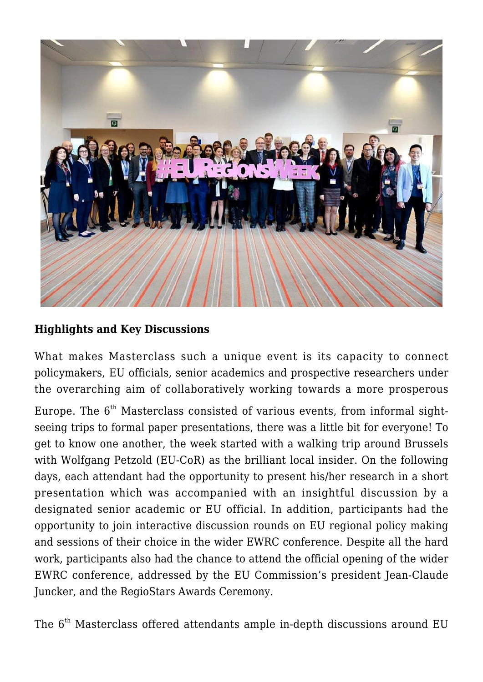

## **Highlights and Key Discussions**

What makes Masterclass such a unique event is its capacity to connect policymakers, EU officials, senior academics and prospective researchers under the overarching aim of collaboratively working towards a more prosperous

Europe. The  $6<sup>th</sup>$  Masterclass consisted of various events, from informal sightseeing trips to formal paper presentations, there was a little bit for everyone! To get to know one another, the week started with a walking trip around Brussels with [Wolfgang Petzold](https://be.linkedin.com/in/wolfgang-petzold-620a86a) (EU-CoR) as the brilliant local insider. On the following days, each attendant had the opportunity to present his/her research in a short presentation which was accompanied with an insightful discussion by a designated senior academic or EU official. In addition, participants had the opportunity to join interactive discussion rounds on EU regional policy making and sessions of their choice in the wider EWRC conference. Despite all the hard work, participants also had the chance to attend the official opening of the wider EWRC conference, addressed by the [EU Commission's president Jean-Claude](https://ec.europa.eu/commission/commissioners/2014-2019/president_en) [Juncker](https://ec.europa.eu/commission/commissioners/2014-2019/president_en), and the [RegioStars Awards Ceremony](https://europa.eu/regions-and-cities/programme/sessions/170_en).

The  $6<sup>th</sup>$  Masterclass offered attendants ample in-depth discussions around EU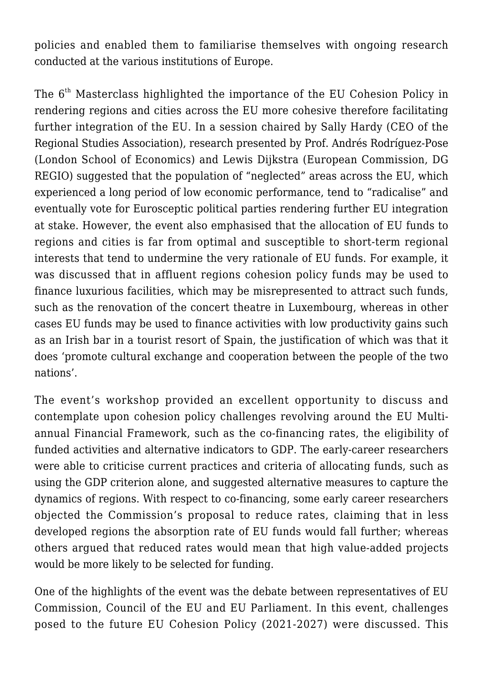policies and enabled them to familiarise themselves with ongoing research conducted at the various institutions of Europe.

The 6<sup>th</sup> Masterclass highlighted the importance of the EU Cohesion Policy in rendering regions and cities across the EU more cohesive therefore facilitating further integration of the EU. In a session chaired by [Sally Hardy](https://www.regionalstudies.org/contact/) (CEO of the Regional Studies Association), research presented by [Prof. Andrés Rodríguez-Pose](http://personal.lse.ac.uk/rodrigu1/) (London School of Economics) and [Lewis Dijkstra](https://europa.eu/regions-and-cities/partners/partners-year/speakers/140_en) (European Commission, DG REGIO) suggested that the population of "neglected" areas across the EU, which experienced a long period of low economic performance, tend to "radicalise" and eventually vote for Eurosceptic political parties rendering further EU integration at stake. However, the event also emphasised that the allocation of EU funds to regions and cities is far from optimal and susceptible to short-term regional interests that tend to undermine the very rationale of EU funds. For example, it was discussed that in affluent regions cohesion policy funds may be used to finance luxurious facilities, which may be misrepresented to attract such funds, such as the renovation of the concert theatre in Luxembourg, whereas in other cases EU funds may be used to finance activities with low productivity gains such as an Irish bar in a tourist resort of Spain, the justification of which was that it does 'promote cultural exchange and cooperation between the people of the two nations'.

The event's workshop provided an excellent opportunity to discuss and contemplate upon cohesion policy challenges revolving around the [EU Multi](http://ec.europa.eu/budget/mff/index_en.cfm)[annual Financial Framework,](http://ec.europa.eu/budget/mff/index_en.cfm) such as the co-financing rates, the eligibility of funded activities and alternative indicators to GDP. The early-career researchers were able to criticise current practices and criteria of allocating funds, such as using the GDP criterion alone, and suggested alternative measures to capture the dynamics of regions. With respect to co-financing, some early career researchers objected the Commission's proposal to reduce rates, claiming that in less developed regions the absorption rate of EU funds would fall further; whereas others argued that reduced rates would mean that high value-added projects would be more likely to be selected for funding.

One of the highlights of the event was the debate between representatives of EU Commission, Council of the EU and EU Parliament. In this event, challenges posed to the future EU Cohesion Policy (2021-2027) were discussed. This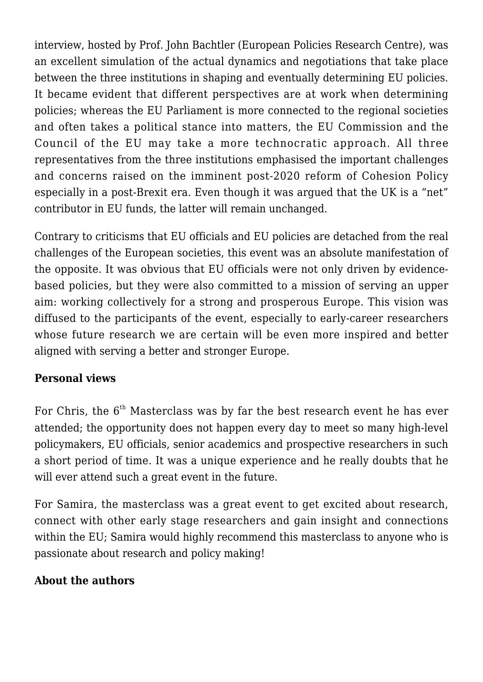interview, hosted by [Prof. John Bachtler](http://eprc-strath.eu/About-us/people/Research-staff/John-Bachtler.html) (European Policies Research Centre), was an excellent simulation of the actual dynamics and negotiations that take place between the three institutions in shaping and eventually determining EU policies. It became evident that different perspectives are at work when determining policies; whereas the EU Parliament is more connected to the regional societies and often takes a political stance into matters, the EU Commission and the Council of the EU may take a more technocratic approach. All three representatives from the three institutions emphasised the important challenges and concerns raised on the imminent post-2020 reform of Cohesion Policy especially in a post-Brexit era. Even though it was argued that the UK is a "net" contributor in EU funds, the latter will remain unchanged.

Contrary to criticisms that EU officials and EU policies are detached from the real challenges of the European societies, this event was an absolute manifestation of the opposite. It was obvious that EU officials were not only driven by evidencebased policies, but they were also committed to a mission of serving an upper aim: working collectively for a strong and prosperous Europe. This vision was diffused to the participants of the event, especially to early-career researchers whose future research we are certain will be even more inspired and better aligned with serving a better and stronger Europe.

## **Personal views**

For Chris, the  $6<sup>th</sup>$  Masterclass was by far the best research event he has ever attended; the opportunity does not happen every day to meet so many high-level policymakers, EU officials, senior academics and prospective researchers in such a short period of time. It was a unique experience and he really doubts that he will ever attend such a great event in the future.

For Samira, the masterclass was a great event to get excited about research, connect with other early stage researchers and gain insight and connections within the EU; Samira would highly recommend this masterclass to anyone who is passionate about research and policy making!

## **About the authors**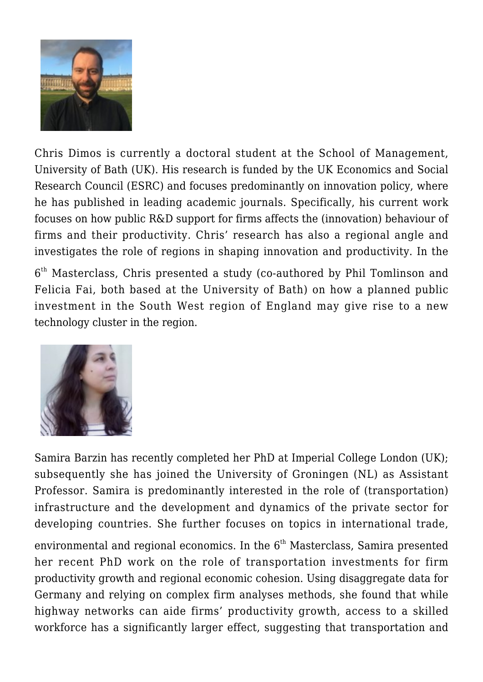

Chris Dimos is currently a doctoral student at the School of Management, University of Bath (UK). His research is funded by the UK Economics and Social Research Council (ESRC) and focuses predominantly on innovation policy, where he has published in leading academic journals. Specifically, his current work focuses on how public R&D support for firms affects the (innovation) behaviour of firms and their productivity. Chris' research has also a regional angle and investigates the role of regions in shaping innovation and productivity. In the

 $6<sup>th</sup>$  Masterclass, Chris presented a study (co-authored by Phil Tomlinson and Felicia Fai, both based at the University of Bath) on how a planned public investment in the South West region of England may give rise to a new technology cluster in the region.



Samira Barzin has recently completed her PhD at Imperial College London (UK); subsequently she has joined the University of Groningen (NL) as Assistant Professor. Samira is predominantly interested in the role of (transportation) infrastructure and the development and dynamics of the private sector for developing countries. She further focuses on topics in international trade,

environmental and regional economics. In the  $6<sup>th</sup>$  Masterclass, Samira presented her recent PhD work on the role of transportation investments for firm productivity growth and regional economic cohesion. Using disaggregate data for Germany and relying on complex firm analyses methods, she found that while highway networks can aide firms' productivity growth, access to a skilled workforce has a significantly larger effect, suggesting that transportation and